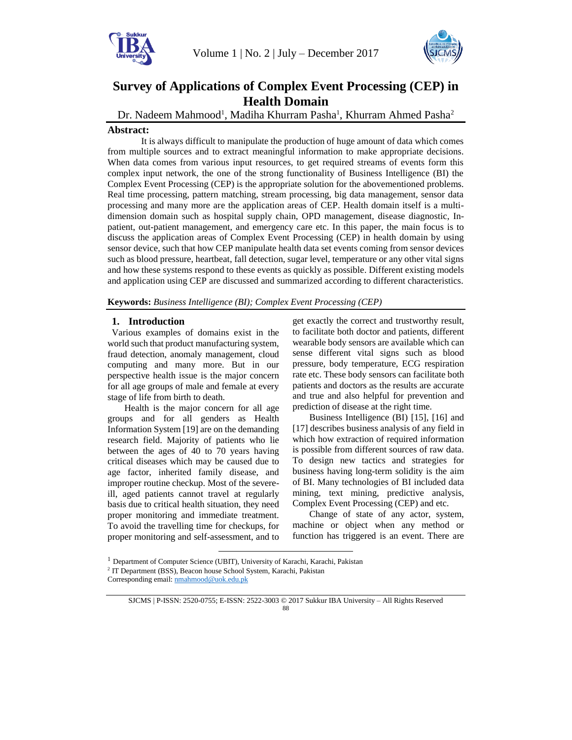



# **Survey of Applications of Complex Event Processing (CEP) in Health Domain**

Dr. Nadeem Mahmood<sup>1</sup>, Madiha Khurram Pasha<sup>1</sup>, Khurram Ahmed Pasha<sup>2</sup>

# **Abstract:**

It is always difficult to manipulate the production of huge amount of data which comes from multiple sources and to extract meaningful information to make appropriate decisions. When data comes from various input resources, to get required streams of events form this complex input network, the one of the strong functionality of Business Intelligence (BI) the Complex Event Processing (CEP) is the appropriate solution for the abovementioned problems. Real time processing, pattern matching, stream processing, big data management, sensor data processing and many more are the application areas of CEP. Health domain itself is a multidimension domain such as hospital supply chain, OPD management, disease diagnostic, Inpatient, out-patient management, and emergency care etc. In this paper, the main focus is to discuss the application areas of Complex Event Processing (CEP) in health domain by using sensor device, such that how CEP manipulate health data set events coming from sensor devices such as blood pressure, heartbeat, fall detection, sugar level, temperature or any other vital signs and how these systems respond to these events as quickly as possible. Different existing models and application using CEP are discussed and summarized according to different characteristics.

**Keywords:** *Business Intelligence (BI); Complex Event Processing (CEP)*

# **1. Introduction**

Various examples of domains exist in the world such that product manufacturing system, fraud detection, anomaly management, cloud computing and many more. But in our perspective health issue is the major concern for all age groups of male and female at every stage of life from birth to death.

Health is the major concern for all age groups and for all genders as Health Information System [19] are on the demanding research field. Majority of patients who lie between the ages of 40 to 70 years having critical diseases which may be caused due to age factor, inherited family disease, and improper routine checkup. Most of the severeill, aged patients cannot travel at regularly basis due to critical health situation, they need proper monitoring and immediate treatment. To avoid the travelling time for checkups, for proper monitoring and self-assessment, and to get exactly the correct and trustworthy result, to facilitate both doctor and patients, different wearable body sensors are available which can sense different vital signs such as blood pressure, body temperature, ECG respiration rate etc. These body sensors can facilitate both patients and doctors as the results are accurate and true and also helpful for prevention and prediction of disease at the right time.

Business Intelligence (BI) [15], [16] and [17] describes business analysis of any field in which how extraction of required information is possible from different sources of raw data. To design new tactics and strategies for business having long-term solidity is the aim of BI. Many technologies of BI included data mining, text mining, predictive analysis, Complex Event Processing (CEP) and etc.

Change of state of any actor, system, machine or object when any method or function has triggered is an event. There are

l

<sup>&</sup>lt;sup>1</sup> Department of Computer Science (UBIT), University of Karachi, Karachi, Pakistan

<sup>&</sup>lt;sup>2</sup> IT Department (BSS), Beacon house School System, Karachi, Pakistan

Corresponding email[: nmahmood@uok.edu.pk](mailto:nmahmood@uok.edu.pk)

SJCMS | P-ISSN: 2520-0755; E-ISSN: 2522-3003 © 2017 Sukkur IBA University – All Rights Reserved 88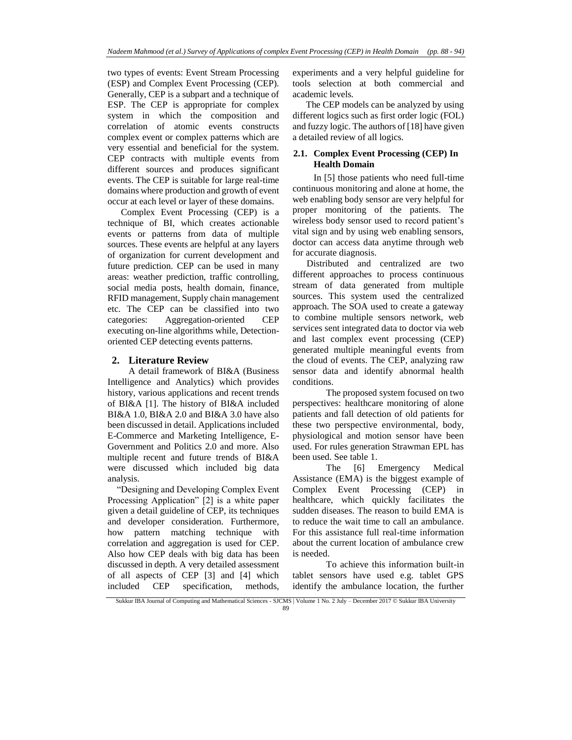two types of events: Event Stream Processing (ESP) and Complex Event Processing (CEP). Generally, CEP is a subpart and a technique of ESP. The CEP is appropriate for complex system in which the composition and correlation of atomic events constructs complex event or complex patterns which are very essential and beneficial for the system. CEP contracts with multiple events from different sources and produces significant events. The CEP is suitable for large real-time domains where production and growth of event occur at each level or layer of these domains.

Complex Event Processing (CEP) is a technique of BI, which creates actionable events or patterns from data of multiple sources. These events are helpful at any layers of organization for current development and future prediction. CEP can be used in many areas: weather prediction, traffic controlling, social media posts, health domain, finance, RFID management, Supply chain management etc. The CEP can be classified into two categories: Aggregation-oriented CEP executing on-line algorithms while, Detectionoriented CEP detecting events patterns.

#### **2. Literature Review**

A detail framework of BI&A (Business Intelligence and Analytics) which provides history, various applications and recent trends of BI&A [1]. The history of BI&A included BI&A 1.0, BI&A 2.0 and BI&A 3.0 have also been discussed in detail. Applications included E-Commerce and Marketing Intelligence, E-Government and Politics 2.0 and more. Also multiple recent and future trends of BI&A were discussed which included big data analysis.

 "Designing and Developing Complex Event Processing Application" [2] is a white paper given a detail guideline of CEP, its techniques and developer consideration. Furthermore, how pattern matching technique with correlation and aggregation is used for CEP. Also how CEP deals with big data has been discussed in depth. A very detailed assessment of all aspects of CEP [3] and [4] which included CEP specification, methods, experiments and a very helpful guideline for tools selection at both commercial and academic levels.

The CEP models can be analyzed by using different logics such as first order logic (FOL) and fuzzy logic. The authors of [18] have given a detailed review of all logics.

## **2.1. Complex Event Processing (CEP) In Health Domain**

In [5] those patients who need full-time continuous monitoring and alone at home, the web enabling body sensor are very helpful for proper monitoring of the patients. The wireless body sensor used to record patient's vital sign and by using web enabling sensors, doctor can access data anytime through web for accurate diagnosis.

 Distributed and centralized are two different approaches to process continuous stream of data generated from multiple sources. This system used the centralized approach. The SOA used to create a gateway to combine multiple sensors network, web services sent integrated data to doctor via web and last complex event processing (CEP) generated multiple meaningful events from the cloud of events. The CEP, analyzing raw sensor data and identify abnormal health conditions.

The proposed system focused on two perspectives: healthcare monitoring of alone patients and fall detection of old patients for these two perspective environmental, body, physiological and motion sensor have been used. For rules generation Strawman EPL has been used. See table 1.

The [6] Emergency Medical Assistance (EMA) is the biggest example of Complex Event Processing (CEP) in healthcare, which quickly facilitates the sudden diseases. The reason to build EMA is to reduce the wait time to call an ambulance. For this assistance full real-time information about the current location of ambulance crew is needed.

To achieve this information built-in tablet sensors have used e.g. tablet GPS identify the ambulance location, the further

Sukkur IBA Journal of Computing and Mathematical Sciences - SJCMS | Volume 1 No. 2 July – December 2017 © Sukkur IBA University 89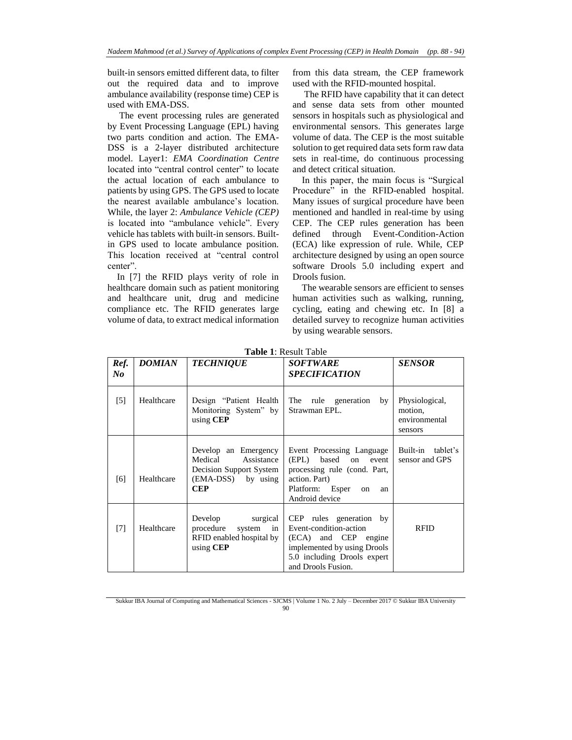built-in sensors emitted different data, to filter out the required data and to improve ambulance availability (response time) CEP is used with EMA-DSS.

 The event processing rules are generated by Event Processing Language (EPL) having two parts condition and action. The EMA-DSS is a 2-layer distributed architecture model. Layer1: *EMA Coordination Centre* located into "central control center" to locate the actual location of each ambulance to patients by using GPS. The GPS used to locate the nearest available ambulance's location. While, the layer 2: *Ambulance Vehicle (CEP)*  is located into "ambulance vehicle". Every vehicle has tablets with built-in sensors. Builtin GPS used to locate ambulance position. This location received at "central control center".

 In [7] the RFID plays verity of role in healthcare domain such as patient monitoring and healthcare unit, drug and medicine compliance etc. The RFID generates large volume of data, to extract medical information

from this data stream, the CEP framework used with the RFID-mounted hospital.

 The RFID have capability that it can detect and sense data sets from other mounted sensors in hospitals such as physiological and environmental sensors. This generates large volume of data. The CEP is the most suitable solution to get required data sets form raw data sets in real-time, do continuous processing and detect critical situation.

 In this paper, the main focus is "Surgical Procedure" in the RFID-enabled hospital. Many issues of surgical procedure have been mentioned and handled in real-time by using CEP. The CEP rules generation has been defined through Event-Condition-Action (ECA) like expression of rule. While, CEP architecture designed by using an open source software Drools 5.0 including expert and Drools fusion.

 The wearable sensors are efficient to senses human activities such as walking, running, cycling, eating and chewing etc. In [8] a detailed survey to recognize human activities by using wearable sensors.

| Ref.<br>No | <b>DOMIAN</b> | <b>TECHNIQUE</b>                                                                                             | <b>SOFTWARE</b><br><b>SPECIFICATION</b>                                                                                                                       | <b>SENSOR</b>                                         |
|------------|---------------|--------------------------------------------------------------------------------------------------------------|---------------------------------------------------------------------------------------------------------------------------------------------------------------|-------------------------------------------------------|
| $[5]$      | Healthcare    | Design "Patient Health<br>Monitoring System" by<br>using CEP                                                 | The rule generation by<br>Strawman EPL.                                                                                                                       | Physiological,<br>motion.<br>environmental<br>sensors |
| [6]        | Healthcare    | Develop an Emergency<br>Medical<br>Assistance<br>Decision Support System<br>(EMA-DSS) by using<br><b>CEP</b> | Event Processing Language<br>(EPL)<br>based<br>on<br>event<br>processing rule (cond. Part,<br>action. Part)<br>Platform: Esper<br>on<br>an<br>Android device  | Built-in<br>tablet's<br>sensor and GPS                |
| $[7]$      | Healthcare    | Develop<br>surgical<br>procedure<br>in<br>system<br>RFID enabled hospital by<br>using CEP                    | CEP rules generation by<br>Event-condition-action<br>(ECA) and CEP engine<br>implemented by using Drools<br>5.0 including Drools expert<br>and Drools Fusion. | <b>RFID</b>                                           |

**Table 1**: Result Table

Sukkur IBA Journal of Computing and Mathematical Sciences - SJCMS | Volume 1 No. 2 July – December 2017 © Sukkur IBA University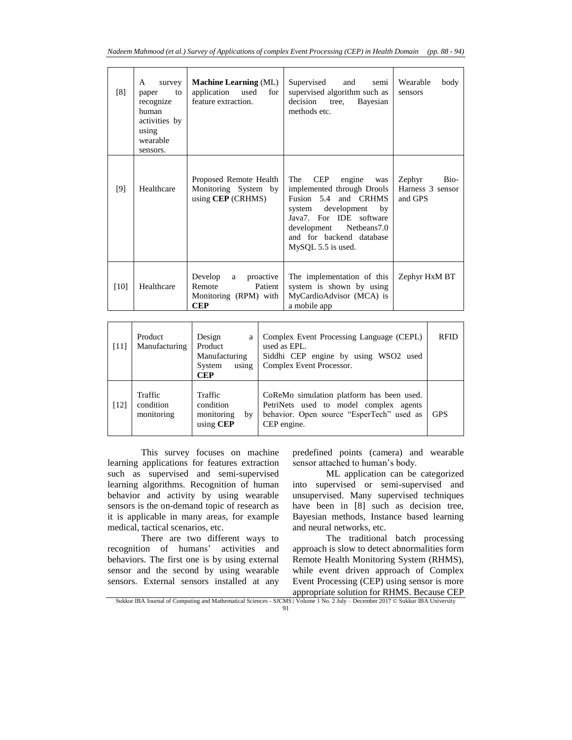| [8]    | survey<br>A<br>to<br>paper<br>recognize<br>human<br>activities by<br>using<br>wearable<br>sensors. | <b>Machine Learning (ML)</b><br>application used<br>for<br>feature extraction.     | Supervised<br>and<br>semi<br>supervised algorithm such as<br>decision<br>tree,<br>Bayesian<br>methods etc.                                                                                                                       | Wearable<br>body<br>sensors                   |
|--------|----------------------------------------------------------------------------------------------------|------------------------------------------------------------------------------------|----------------------------------------------------------------------------------------------------------------------------------------------------------------------------------------------------------------------------------|-----------------------------------------------|
| [9]    | Healthcare                                                                                         | Proposed Remote Health<br>Monitoring System by<br>using $CEP$ (CRHMS)              | The<br><b>CEP</b><br>engine<br>was<br>implemented through Drools<br>Fusion 5.4 and CRHMS<br>system development<br>$-$ by<br>Java7. For IDE software<br>development Netbeans7.0<br>and for backend database<br>MySQL 5.5 is used. | Bio-<br>Zephyr<br>Harness 3 sensor<br>and GPS |
| $[10]$ | Healthcare                                                                                         | Develop<br>a proactive<br>Remote<br>Patient<br>Monitoring (RPM) with<br><b>CEP</b> | The implementation of this<br>system is shown by using<br>MyCardioAdvisor (MCA) is<br>a mobile app                                                                                                                               | Zephyr HxM BT                                 |

| $[11]$ | Product<br>Manufacturing           | Design<br>a<br>Product<br>Manufacturing<br>System<br>using<br><b>CEP</b> | Complex Event Processing Language (CEPL)<br>used as EPL.<br>Siddhi CEP engine by using WSO2 used<br>Complex Event Processor.                    | <b>RFID</b> |
|--------|------------------------------------|--------------------------------------------------------------------------|-------------------------------------------------------------------------------------------------------------------------------------------------|-------------|
| [12]   | Traffic<br>condition<br>monitoring | Traffic<br>condition<br>monitoring<br>by<br>using CEP                    | CoReMo simulation platform has been used.<br>PetriNets used to model complex agents<br>behavior. Open source "EsperTech" used as<br>CEP engine. | <b>GPS</b>  |

This survey focuses on machine learning applications for features extraction such as supervised and semi-supervised learning algorithms. Recognition of human behavior and activity by using wearable sensors is the on-demand topic of research as it is applicable in many areas, for example medical, tactical scenarios, etc.

There are two different ways to recognition of humans' activities and behaviors. The first one is by using external sensor and the second by using wearable sensors. External sensors installed at any predefined points (camera) and wearable sensor attached to human's body.

ML application can be categorized into supervised or semi-supervised and unsupervised. Many supervised techniques have been in [8] such as decision tree, Bayesian methods, Instance based learning and neural networks, etc.

 The traditional batch processing approach is slow to detect abnormalities form Remote Health Monitoring System (RHMS), while event driven approach of Complex Event Processing (CEP) using sensor is more appropriate solution for RHMS. Because CEP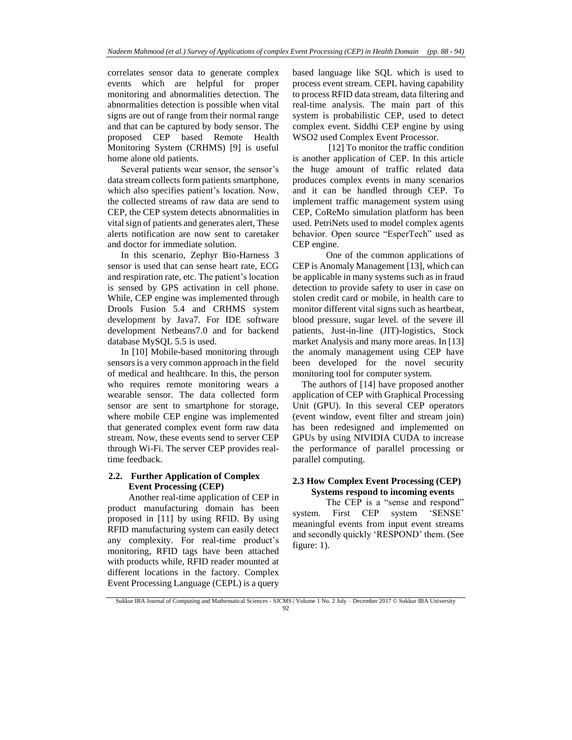correlates sensor data to generate complex events which are helpful for proper monitoring and abnormalities detection. The abnormalities detection is possible when vital signs are out of range from their normal range and that can be captured by body sensor. The proposed CEP based Remote Health Monitoring System (CRHMS) [9] is useful home alone old patients.

Several patients wear sensor, the sensor's data stream collects form patients smartphone, which also specifies patient's location. Now, the collected streams of raw data are send to CEP, the CEP system detects abnormalities in vital sign of patients and generates alert, These alerts notification are now sent to caretaker and doctor for immediate solution.

In this scenario, Zephyr Bio-Harness 3 sensor is used that can sense heart rate, ECG and respiration rate, etc. The patient's location is sensed by GPS activation in cell phone. While, CEP engine was implemented through Drools Fusion 5.4 and CRHMS system development by Java7. For IDE software development Netbeans7.0 and for backend database MySQL 5.5 is used.

In [10] Mobile-based monitoring through sensors is a very common approach in the field of medical and healthcare. In this, the person who requires remote monitoring wears a wearable sensor. The data collected form sensor are sent to smartphone for storage, where mobile CEP engine was implemented that generated complex event form raw data stream. Now, these events send to server CEP through Wi-Fi. The server CEP provides realtime feedback.

## **2.2. Further Application of Complex Event Processing (CEP)**

Another real-time application of CEP in product manufacturing domain has been proposed in [11] by using RFID. By using RFID manufacturing system can easily detect any complexity. For real-time product's monitoring, RFID tags have been attached with products while, RFID reader mounted at different locations in the factory. Complex Event Processing Language (CEPL) is a query

based language like SQL which is used to process event stream. CEPL having capability to process RFID data stream, data filtering and real-time analysis. The main part of this system is probabilistic CEP, used to detect complex event. Siddhi CEP engine by using WSO2 used Complex Event Processor.

 [12] To monitor the traffic condition is another application of CEP. In this article the huge amount of traffic related data produces complex events in many scenarios and it can be handled through CEP. To implement traffic management system using CEP, CoReMo simulation platform has been used. PetriNets used to model complex agents behavior. Open source "EsperTech" used as CEP engine.

One of the common applications of CEP is Anomaly Management [13], which can be applicable in many systems such as in fraud detection to provide safety to user in case on stolen credit card or mobile, in health care to monitor different vital signs such as heartbeat, blood pressure, sugar level. of the severe ill patients, Just-in-line (JIT)-logistics, Stock market Analysis and many more areas. In [13] the anomaly management using CEP have been developed for the novel security monitoring tool for computer system.

 The authors of [14] have proposed another application of CEP with Graphical Processing Unit (GPU). In this several CEP operators (event window, event filter and stream join) has been redesigned and implemented on GPUs by using NIVIDIA CUDA to increase the performance of parallel processing or parallel computing.

## **2.3 How Complex Event Processing (CEP) Systems respond to incoming events**

The CEP is a "sense and respond" system. First CEP system 'SENSE' meaningful events from input event streams and secondly quickly 'RESPOND' them. (See figure: 1).

Sukkur IBA Journal of Computing and Mathematical Sciences - SJCMS | Volume 1 No. 2 July – December 2017 © Sukkur IBA University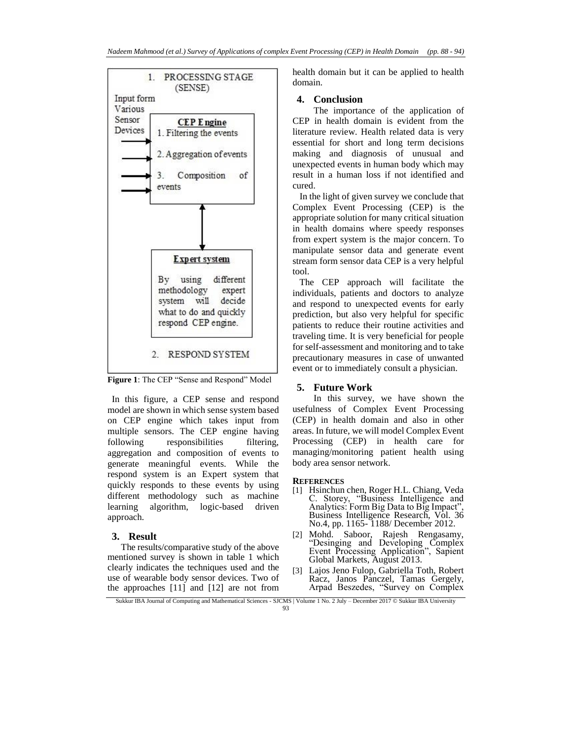

**Figure 1**: The CEP "Sense and Respond" Model

In this figure, a CEP sense and respond model are shown in which sense system based on CEP engine which takes input from multiple sensors. The CEP engine having following responsibilities filtering, aggregation and composition of events to generate meaningful events. While the respond system is an Expert system that quickly responds to these events by using different methodology such as machine learning algorithm, logic-based driven approach.

## **3. Result**

The results/comparative study of the above mentioned survey is shown in table 1 which clearly indicates the techniques used and the use of wearable body sensor devices. Two of the approaches [11] and [12] are not from

health domain but it can be applied to health domain.

#### **4. Conclusion**

The importance of the application of CEP in health domain is evident from the literature review. Health related data is very essential for short and long term decisions making and diagnosis of unusual and unexpected events in human body which may result in a human loss if not identified and cured.

 In the light of given survey we conclude that Complex Event Processing (CEP) is the appropriate solution for many critical situation in health domains where speedy responses from expert system is the major concern. To manipulate sensor data and generate event stream form sensor data CEP is a very helpful tool.

 The CEP approach will facilitate the individuals, patients and doctors to analyze and respond to unexpected events for early prediction, but also very helpful for specific patients to reduce their routine activities and traveling time. It is very beneficial for people for self-assessment and monitoring and to take precautionary measures in case of unwanted event or to immediately consult a physician.

#### **5. Future Work**

In this survey, we have shown the usefulness of Complex Event Processing (CEP) in health domain and also in other areas. In future, we will model Complex Event Processing (CEP) in health care for managing/monitoring patient health using body area sensor network.

#### **REFERENCES**

- [1] Hsinchun chen, Roger H.L. Chiang, Veda C. Storey, "Business Intelligence and Analytics: Form Big Data to Big Impact", Business Intelligence Research, Vol. 36 No.4, pp. 1165- 1188/ December 2012.
- [2] Mohd. Saboor, Rajesh Rengasamy, "Desinging and Developing Complex Event Processing Application", Sapient Global Markets, August 2013.
- [3] Lajos Jeno Fulop, Gabriella Toth, Robert Racz, Janos Panczel, Tamas Gergely, Arpad Beszedes, "Survey on Complex

Sukkur IBA Journal of Computing and Mathematical Sciences - SJCMS | Volume 1 No. 2 July – December 2017 © Sukkur IBA University 93